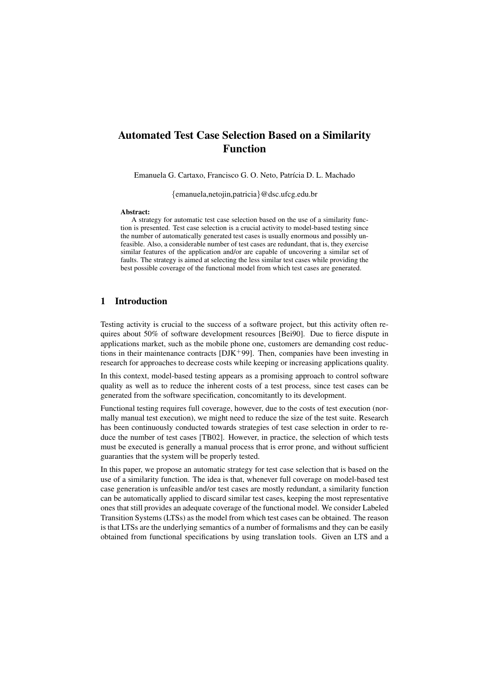# Automated Test Case Selection Based on a Similarity Function

Emanuela G. Cartaxo, Francisco G. O. Neto, Patrícia D. L. Machado

{emanuela,netojin,patricia}@dsc.ufcg.edu.br

#### Abstract:

A strategy for automatic test case selection based on the use of a similarity function is presented. Test case selection is a crucial activity to model-based testing since the number of automatically generated test cases is usually enormous and possibly unfeasible. Also, a considerable number of test cases are redundant, that is, they exercise similar features of the application and/or are capable of uncovering a similar set of faults. The strategy is aimed at selecting the less similar test cases while providing the best possible coverage of the functional model from which test cases are generated.

# 1 Introduction

Testing activity is crucial to the success of a software project, but this activity often requires about 50% of software development resources [Bei90]. Due to fierce dispute in applications market, such as the mobile phone one, customers are demanding cost reductions in their maintenance contracts  $[DJK^+99]$ . Then, companies have been investing in research for approaches to decrease costs while keeping or increasing applications quality.

In this context, model-based testing appears as a promising approach to control software quality as well as to reduce the inherent costs of a test process, since test cases can be generated from the software specification, concomitantly to its development.

Functional testing requires full coverage, however, due to the costs of test execution (normally manual test execution), we might need to reduce the size of the test suite. Research has been continuously conducted towards strategies of test case selection in order to reduce the number of test cases [TB02]. However, in practice, the selection of which tests must be executed is generally a manual process that is error prone, and without sufficient guaranties that the system will be properly tested.

In this paper, we propose an automatic strategy for test case selection that is based on the use of a similarity function. The idea is that, whenever full coverage on model-based test case generation is unfeasible and/or test cases are mostly redundant, a similarity function can be automatically applied to discard similar test cases, keeping the most representative ones that still provides an adequate coverage of the functional model. We consider Labeled Transition Systems (LTSs) as the model from which test cases can be obtained. The reason is that LTSs are the underlying semantics of a number of formalisms and they can be easily obtained from functional specifications by using translation tools. Given an LTS and a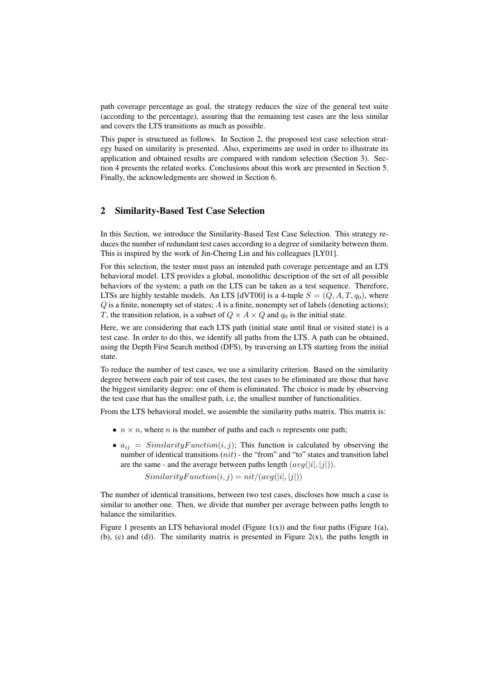path coverage percentage as goal, the strategy reduces the size of the general test suite (according to the percentage), assuring that the remaining test cases are the less similar and covers the LTS transitions as much as possible.

This paper is structured as follows. In Section 2, the proposed test case selection strategy based on similarity is presented. Also, experiments are used in order to illustrate its application and obtained results are compared with random selection (Section 3). Section 4 presents the related works. Conclusions about this work are presented in Section 5. Finally, the acknowledgments are showed in Section 6.

# 2 Similarity-Based Test Case Selection

In this Section, we introduce the Similarity-Based Test Case Selection. This strategy reduces the number of redundant test cases according to a degree of similarity between them. This is inspired by the work of Jin-Cherng Lin and his colleagues [LY01].

For this selection, the tester must pass an intended path coverage percentage and an LTS behavioral model. LTS provides a global, monolithic description of the set of all possible behaviors of the system; a path on the LTS can be taken as a test sequence. Therefore, LTSs are highly testable models. An LTS [dVT00] is a 4-tuple  $S = (Q, A, T, q_0)$ , where  $Q$  is a finite, nonempty set of states;  $A$  is a finite, nonempty set of labels (denoting actions); T, the transition relation, is a subset of  $Q \times A \times Q$  and  $q_0$  is the initial state.

Here, we are considering that each LTS path (initial state until final or visited state) is a test case. In order to do this, we identify all paths from the LTS. A path can be obtained, using the Depth First Search method (DFS), by traversing an LTS starting from the initial state.

To reduce the number of test cases, we use a similarity criterion. Based on the similarity degree between each pair of test cases, the test cases to be eliminated are those that have the biggest similarity degree: one of them is eliminated. The choice is made by observing the test case that has the smallest path, i.e, the smallest number of functionalities.

From the LTS behavioral model, we assemble the similarity paths matrix. This matrix is:

- $n \times n$ , where *n* is the number of paths and each *n* represents one path;
- $a_{ij} = SimilarityFunction(i, j)$ ; This function is calculated by observing the number of identical transitions  $(nit)$  - the "from" and "to" states and transition label are the same - and the average between paths length  $(avg(|i|, |j|)).$

 $Similarity Function(i, j) = nit/(avg(|i|, |j|))$ 

The number of identical transitions, between two test cases, discloses how much a case is similar to another one. Then, we divide that number per average between paths length to balance the similarities.

Figure 1 presents an LTS behavioral model (Figure  $1(x)$ ) and the four paths (Figure 1(a), (b), (c) and (d)). The similarity matrix is presented in Figure  $2(x)$ , the paths length in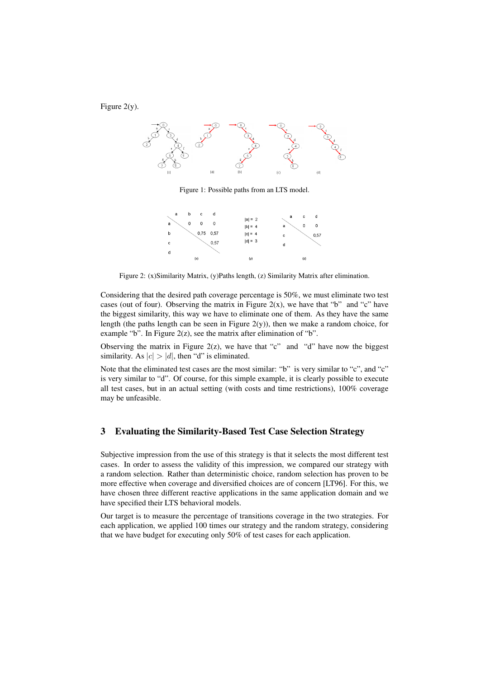



Figure 1: Possible paths from an LTS model.

| а | b | c    | d    |                        | a | c   | d    |
|---|---|------|------|------------------------|---|-----|------|
| a | 0 | 0    | 0    | $ a  = 2$<br>$ b  = 4$ | а | 0   | 0    |
| b |   | 0,75 | 0,57 | $ c  = 4$              | c |     | 0,57 |
| c |   |      | 0,57 | $ d  = 3$              | d |     |      |
| d |   |      |      |                        |   |     |      |
|   |   | (x)  |      | (y)                    |   | (z) |      |

Figure 2: (x)Similarity Matrix, (y)Paths length, (z) Similarity Matrix after elimination.

Considering that the desired path coverage percentage is 50%, we must eliminate two test cases (out of four). Observing the matrix in Figure  $2(x)$ , we have that "b" and "c" have the biggest similarity, this way we have to eliminate one of them. As they have the same length (the paths length can be seen in Figure  $2(y)$ ), then we make a random choice, for example "b". In Figure  $2(z)$ , see the matrix after elimination of "b".

Observing the matrix in Figure 2(z), we have that "c" and "d" have now the biggest similarity. As  $|c| > |d|$ , then "d" is eliminated.

Note that the eliminated test cases are the most similar: "b" is very similar to "c", and "c" is very similar to "d". Of course, for this simple example, it is clearly possible to execute all test cases, but in an actual setting (with costs and time restrictions), 100% coverage may be unfeasible.

#### 3 Evaluating the Similarity-Based Test Case Selection Strategy

Subjective impression from the use of this strategy is that it selects the most different test cases. In order to assess the validity of this impression, we compared our strategy with a random selection. Rather than deterministic choice, random selection has proven to be more effective when coverage and diversified choices are of concern [LT96]. For this, we have chosen three different reactive applications in the same application domain and we have specified their LTS behavioral models.

Our target is to measure the percentage of transitions coverage in the two strategies. For each application, we applied 100 times our strategy and the random strategy, considering that we have budget for executing only 50% of test cases for each application.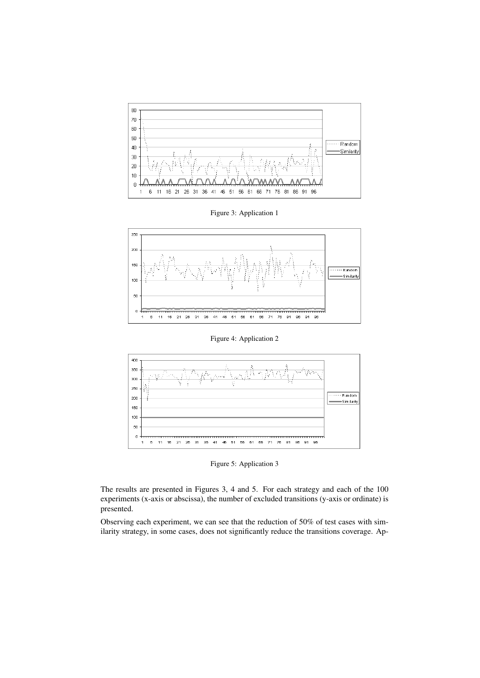

Figure 3: Application 1



Figure 4: Application 2



Figure 5: Application 3

The results are presented in Figures 3, 4 and 5. For each strategy and each of the 100 experiments (x-axis or abscissa), the number of excluded transitions (y-axis or ordinate) is presented.

Observing each experiment, we can see that the reduction of 50% of test cases with similarity strategy, in some cases, does not significantly reduce the transitions coverage. Ap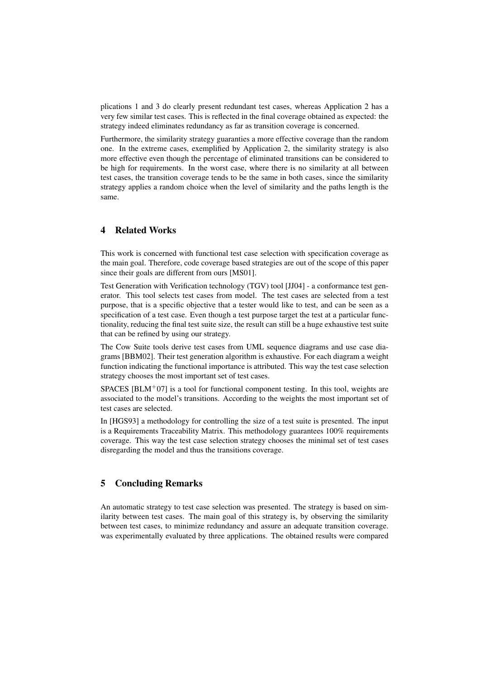plications 1 and 3 do clearly present redundant test cases, whereas Application 2 has a very few similar test cases. This is reflected in the final coverage obtained as expected: the strategy indeed eliminates redundancy as far as transition coverage is concerned.

Furthermore, the similarity strategy guaranties a more effective coverage than the random one. In the extreme cases, exemplified by Application 2, the similarity strategy is also more effective even though the percentage of eliminated transitions can be considered to be high for requirements. In the worst case, where there is no similarity at all between test cases, the transition coverage tends to be the same in both cases, since the similarity strategy applies a random choice when the level of similarity and the paths length is the same.

# 4 Related Works

This work is concerned with functional test case selection with specification coverage as the main goal. Therefore, code coverage based strategies are out of the scope of this paper since their goals are different from ours [MS01].

Test Generation with Verification technology (TGV) tool [JJ04] - a conformance test generator. This tool selects test cases from model. The test cases are selected from a test purpose, that is a specific objective that a tester would like to test, and can be seen as a specification of a test case. Even though a test purpose target the test at a particular functionality, reducing the final test suite size, the result can still be a huge exhaustive test suite that can be refined by using our strategy.

The Cow Suite tools derive test cases from UML sequence diagrams and use case diagrams [BBM02]. Their test generation algorithm is exhaustive. For each diagram a weight function indicating the functional importance is attributed. This way the test case selection strategy chooses the most important set of test cases.

SPACES  $[BLM+07]$  is a tool for functional component testing. In this tool, weights are associated to the model's transitions. According to the weights the most important set of test cases are selected.

In [HGS93] a methodology for controlling the size of a test suite is presented. The input is a Requirements Traceability Matrix. This methodology guarantees 100% requirements coverage. This way the test case selection strategy chooses the minimal set of test cases disregarding the model and thus the transitions coverage.

## 5 Concluding Remarks

An automatic strategy to test case selection was presented. The strategy is based on similarity between test cases. The main goal of this strategy is, by observing the similarity between test cases, to minimize redundancy and assure an adequate transition coverage. was experimentally evaluated by three applications. The obtained results were compared